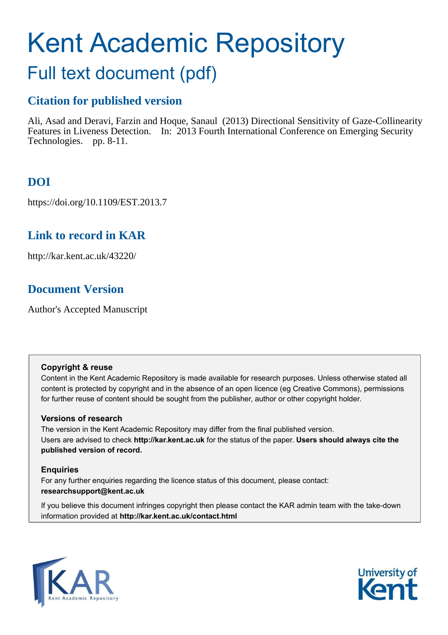# Kent Academic Repository

# Full text document (pdf)

## **Citation for published version**

Ali, Asad and Deravi, Farzin and Hoque, Sanaul (2013) Directional Sensitivity of Gaze-Collinearity Features in Liveness Detection. In: 2013 Fourth International Conference on Emerging Security Technologies. pp. 8-11.

# **DOI**

https://doi.org/10.1109/EST.2013.7

### **Link to record in KAR**

http://kar.kent.ac.uk/43220/

### **Document Version**

Author's Accepted Manuscript

#### **Copyright & reuse**

Content in the Kent Academic Repository is made available for research purposes. Unless otherwise stated all content is protected by copyright and in the absence of an open licence (eg Creative Commons), permissions for further reuse of content should be sought from the publisher, author or other copyright holder.

#### **Versions of research**

The version in the Kent Academic Repository may differ from the final published version. Users are advised to check **http://kar.kent.ac.uk** for the status of the paper. **Users should always cite the published version of record.**

#### **Enquiries**

For any further enquiries regarding the licence status of this document, please contact: **researchsupport@kent.ac.uk**

If you believe this document infringes copyright then please contact the KAR admin team with the take-down information provided at **http://kar.kent.ac.uk/contact.html**



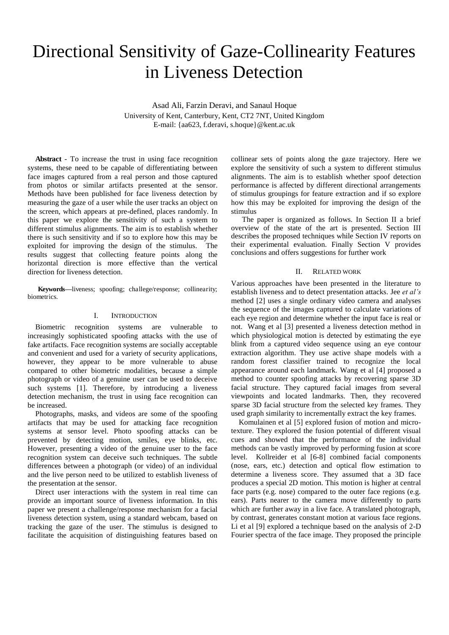# Directional Sensitivity of Gaze-Collinearity Features in Liveness Detection

Asad Ali, Farzin Deravi, and Sanaul Hoque University of Kent, Canterbury, Kent, CT2 7NT, United Kingdom E-mail: {aa623, f.deravi, s.hoque}@kent.ac.uk

**Abstract** - To increase the trust in using face recognition systems, these need to be capable of differentiating between face images captured from a real person and those captured from photos or similar artifacts presented at the sensor. Methods have been published for face liveness detection by measuring the gaze of a user while the user tracks an object on the screen, which appears at pre-defined, places randomly. In this paper we explore the sensitivity of such a system to different stimulus alignments. The aim is to establish whether there is such sensitivity and if so to explore how this may be exploited for improving the design of the stimulus. The results suggest that collecting feature points along the horizontal direction is more effective than the vertical direction for liveness detection.

**Keywords***—*liveness; spoofing; challege/response; collinearity; biometrics.

#### I. INTRODUCTION

Biometric recognition systems are vulnerable to increasingly sophisticated spoofing attacks with the use of fake artifacts. Face recognition systems are socially acceptable and convenient and used for a variety of security applications, however, they appear to be more vulnerable to abuse compared to other biometric modalities, because a simple photograph or video of a genuine user can be used to deceive such systems [1]. Therefore, by introducing a liveness detection mechanism, the trust in using face recognition can be increased.

Photographs, masks, and videos are some of the spoofing artifacts that may be used for attacking face recognition systems at sensor level. Photo spoofing attacks can be prevented by detecting motion, smiles, eye blinks, etc. However, presenting a video of the genuine user to the face recognition system can deceive such techniques. The subtle differences between a photograph (or video) of an individual and the live person need to be utilized to establish liveness of the presentation at the sensor.

Direct user interactions with the system in real time can provide an important source of liveness information. In this paper we present a challenge/response mechanism for a facial liveness detection system, using a standard webcam, based on tracking the gaze of the user. The stimulus is designed to facilitate the acquisition of distinguishing features based on

collinear sets of points along the gaze trajectory. Here we explore the sensitivity of such a system to different stimulus alignments. The aim is to establish whether spoof detection performance is affected by different directional arrangements of stimulus groupings for feature extraction and if so explore how this may be exploited for improving the design of the stimulus

The paper is organized as follows. In Section II a brief overview of the state of the art is presented. Section III describes the proposed techniques while Section IV reports on their experimental evaluation. Finally Section V provides conclusions and offers suggestions for further work

#### II. RELATED WORK

Various approaches have been presented in the literature to establish liveness and to detect presentation attacks. Jee *et al's*  method [2] uses a single ordinary video camera and analyses the sequence of the images captured to calculate variations of each eye region and determine whether the input face is real or not. Wang et al [3] presented a liveness detection method in which physiological motion is detected by estimating the eye blink from a captured video sequence using an eye contour extraction algorithm. They use active shape models with a random forest classifier trained to recognize the local appearance around each landmark. Wang et al [4] proposed a method to counter spoofing attacks by recovering sparse 3D facial structure. They captured facial images from several viewpoints and located landmarks. Then, they recovered sparse 3D facial structure from the selected key frames. They used graph similarity to incrementally extract the key frames.

Komulainen et al [5] explored fusion of motion and microtexture. They explored the fusion potential of different visual cues and showed that the performance of the individual methods can be vastly improved by performing fusion at score level. Kollreider et al [6-8] combined facial components (nose, ears, etc.) detection and optical flow estimation to determine a liveness score. They assumed that a 3D face produces a special 2D motion. This motion is higher at central face parts (e.g. nose) compared to the outer face regions (e.g. ears). Parts nearer to the camera move differently to parts which are further away in a live face. A translated photograph, by contrast, generates constant motion at various face regions. Li et al [9] explored a technique based on the analysis of 2-D Fourier spectra of the face image. They proposed the principle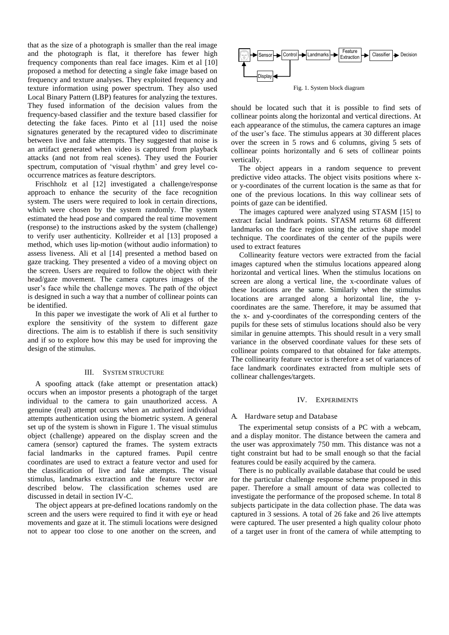that as the size of a photograph is smaller than the real image and the photograph is flat, it therefore has fewer high frequency components than real face images. Kim et al [10] proposed a method for detecting a single fake image based on frequency and texture analyses. They exploited frequency and texture information using power spectrum. They also used Local Binary Pattern (LBP) features for analyzing the textures. They fused information of the decision values from the frequency-based classifier and the texture based classifier for detecting the fake faces. Pinto et al [11] used the noise signatures generated by the recaptured video to discriminate between live and fake attempts. They suggested that noise is an artifact generated when video is captured from playback attacks (and not from real scenes). They used the Fourier spectrum, computation of 'visual rhythm' and grey level cooccurrence matrices as feature descriptors.

Frischholz et al [12] investigated a challenge/response approach to enhance the security of the face recognition system. The users were required to look in certain directions, which were chosen by the system randomly. The system estimated the head pose and compared the real time movement (response) to the instructions asked by the system (challenge) to verify user authenticity. Kollreider et al [13] proposed a method, which uses lip-motion (without audio information) to assess liveness. Ali et al [14] presented a method based on gaze tracking. They presented a video of a moving object on the screen. Users are required to follow the object with their head/gaze movement. The camera captures images of the user's face while the challenge moves. The path of the object is designed in such a way that a number of collinear points can be identified.

In this paper we investigate the work of Ali et al further to explore the sensitivity of the system to different gaze directions. The aim is to establish if there is such sensitivity and if so to explore how this may be used for improving the design of the stimulus.

#### III. SYSTEM STRUCTURE

A spoofing attack (fake attempt or presentation attack) occurs when an impostor presents a photograph of the target individual to the camera to gain unauthorized access. A genuine (real) attempt occurs when an authorized individual attempts authentication using the biometric system. A general set up of the system is shown in Figure 1. The visual stimulus object (challenge) appeared on the display screen and the camera (sensor) captured the frames. The system extracts facial landmarks in the captured frames. Pupil centre coordinates are used to extract a feature vector and used for the classification of live and fake attempts. The visual stimulus, landmarks extraction and the feature vector are described below. The classification schemes used are discussed in detail in section IV-C.

The object appears at pre-defined locations randomly on the screen and the users were required to find it with eye or head movements and gaze at it. The stimuli locations were designed not to appear too close to one another on the screen, and



Fig. 1. System block diagram

should be located such that it is possible to find sets of collinear points along the horizontal and vertical directions. At each appearance of the stimulus, the camera captures an image of the user's face. The stimulus appears at 30 different places over the screen in 5 rows and 6 columns, giving 5 sets of collinear points horizontally and 6 sets of collinear points vertically.

The object appears in a random sequence to prevent predictive video attacks. The object visits positions where xor y-coordinates of the current location is the same as that for one of the previous locations. In this way collinear sets of points of gaze can be identified.

The images captured were analyzed using STASM [15] to extract facial landmark points. STASM returns 68 different landmarks on the face region using the active shape model technique. The coordinates of the center of the pupils were used to extract features

Collinearity feature vectors were extracted from the facial images captured when the stimulus locations appeared along horizontal and vertical lines. When the stimulus locations on screen are along a vertical line, the x-coordinate values of these locations are the same. Similarly when the stimulus locations are arranged along a horizontal line, the ycoordinates are the same. Therefore, it may be assumed that the x- and y-coordinates of the corresponding centers of the pupils for these sets of stimulus locations should also be very similar in genuine attempts. This should result in a very small variance in the observed coordinate values for these sets of collinear points compared to that obtained for fake attempts. The collinearity feature vector is therefore a set of variances of face landmark coordinates extracted from multiple sets of collinear challenges/targets.

#### IV. EXPERIMENTS

#### A. Hardware setup and Database

The experimental setup consists of a PC with a webcam, and a display monitor. The distance between the camera and the user was approximately 750 mm. This distance was not a tight constraint but had to be small enough so that the facial features could be easily acquired by the camera.

There is no publically available database that could be used for the particular challenge response scheme proposed in this paper. Therefore a small amount of data was collected to investigate the performance of the proposed scheme. In total 8 subjects participate in the data collection phase. The data was captured in 3 sessions. A total of 26 fake and 26 live attempts were captured. The user presented a high quality colour photo of a target user in front of the camera of while attempting to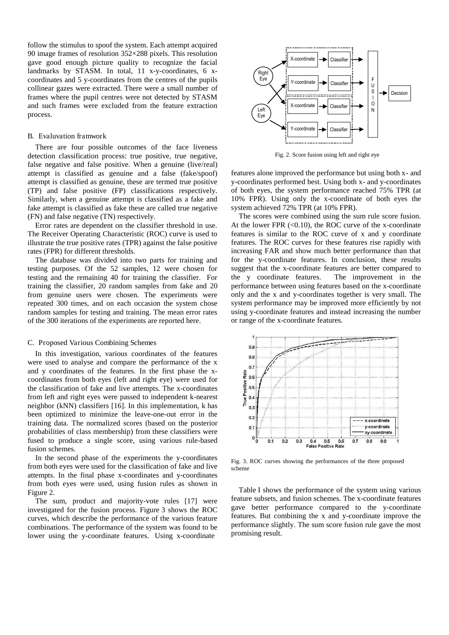follow the stimulus to spoof the system. Each attempt acquired 90 image frames of resolution 352×288 pixels. This resolution gave good enough picture quality to recognize the facial landmarks by STASM. In total, 11 x-y-coordinates, 6 xcoordinates and 5 y-coordinates from the centres of the pupils collinear gazes were extracted. There were a small number of frames where the pupil centres were not detected by STASM and such frames were excluded from the feature extraction process.

#### B. Evaluvation framwork

There are four possible outcomes of the face liveness detection classification process: true positive, true negative, false negative and false positive. When a genuine (live/real) attempt is classified as genuine and a false (fake/spoof) attempt is classified as genuine, these are termed true positive (TP) and false positive (FP) classifications respectively. Similarly, when a genuine attempt is classified as a fake and fake attempt is classified as fake these are called true negative (FN) and false negative (TN) respectively.

Error rates are dependent on the classifier threshold in use. The Receiver Operating Characteristic (ROC) curve is used to illustrate the true positive rates (TPR) against the false positive rates (FPR) for different thresholds.

The database was divided into two parts for training and testing purposes. Of the 52 samples, 12 were chosen for testing and the remaining 40 for training the classifier. For training the classifier, 20 random samples from fake and 20 from genuine users were chosen. The experiments were repeated 300 times, and on each occasion the system chose random samples for testing and training. The mean error rates of the 300 iterations of the experiments are reported here.

#### C. Proposed Various Combining Schemes

In this investigation, various coordinates of the features were used to analyse and compare the performance of the x and y coordinates of the features. In the first phase the xcoordinates from both eyes (left and right eye) were used for the classification of fake and live attempts. The x-coordinates from left and right eyes were passed to independent k-nearest neighbor (kNN) classifiers [16]. In this implementation, k has been optimized to minimize the leave-one-out error in the training data. The normalized scores (based on the posterior probabilities of class membership) from these classifiers were fused to produce a single score, using various rule-based fusion schemes.

In the second phase of the experiments the y-coordinates from both eyes were used for the classification of fake and live attempts. In the final phase x-coordinates and y-coordinates from both eyes were used, using fusion rules as shown in Figure 2.

The sum, product and majority-vote rules [17] were investigated for the fusion process. Figure 3 shows the ROC curves, which describe the performance of the various feature combinations. The performance of the system was found to be lower using the y-coordinate features. Using x-coordinate



Fig. 2. Score fusion using left and right eye

features alone improved the performance but using both x- and y-coordinates performed best. Using both x- and y-coordinates of both eyes, the system performance reached 75% TPR (at 10% FPR). Using only the x-coordinate of both eyes the system achieved 72% TPR (at 10% FPR).

The scores were combined using the sum rule score fusion. At the lower FPR  $(<0.10)$ , the ROC curve of the x-coordinate features is similar to the ROC curve of x and y coordinate features. The ROC curves for these features rise rapidly with increasing FAR and show much better performance than that for the y-coordinate features. In conclusion, these results suggest that the x-coordinate features are better compared to the y coordinate features. The improvement in the performance between using features based on the x-coordinate only and the x and y-coordinates together is very small. The system performance may be improved more efficiently by not using y-coordinate features and instead increasing the number or range of the x-coordinate features.



Fig. 3. ROC curves showing the performances of the three proposed scheme

Table I shows the performance of the system using various feature subsets, and fusion schemes. The x-coordinate features gave better performance compared to the y-coordinate features. But combining the x and y-coordinate improve the performance slightly. The sum score fusion rule gave the most promising result.